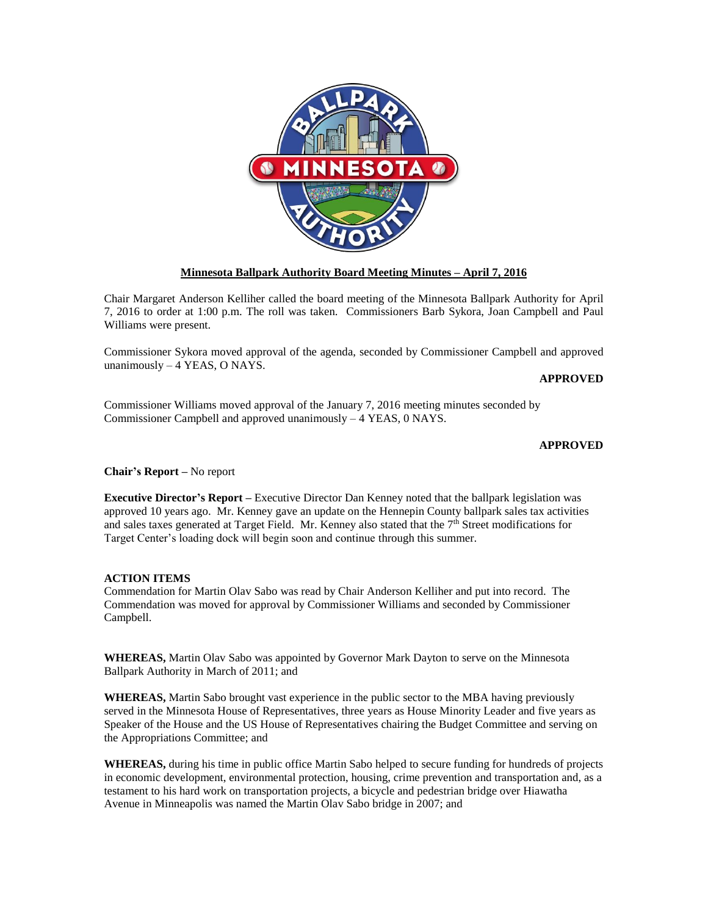

## **Minnesota Ballpark Authority Board Meeting Minutes – April 7, 2016**

Chair Margaret Anderson Kelliher called the board meeting of the Minnesota Ballpark Authority for April 7, 2016 to order at 1:00 p.m. The roll was taken. Commissioners Barb Sykora, Joan Campbell and Paul Williams were present.

Commissioner Sykora moved approval of the agenda, seconded by Commissioner Campbell and approved unanimously – 4 YEAS, O NAYS.

## **APPROVED**

Commissioner Williams moved approval of the January 7, 2016 meeting minutes seconded by Commissioner Campbell and approved unanimously – 4 YEAS, 0 NAYS.

## **APPROVED**

**Chair's Report –** No report

**Executive Director's Report –** Executive Director Dan Kenney noted that the ballpark legislation was approved 10 years ago. Mr. Kenney gave an update on the Hennepin County ballpark sales tax activities and sales taxes generated at Target Field. Mr. Kenney also stated that the  $7<sup>th</sup>$  Street modifications for Target Center's loading dock will begin soon and continue through this summer.

#### **ACTION ITEMS**

Commendation for Martin Olav Sabo was read by Chair Anderson Kelliher and put into record. The Commendation was moved for approval by Commissioner Williams and seconded by Commissioner Campbell.

**WHEREAS,** Martin Olav Sabo was appointed by Governor Mark Dayton to serve on the Minnesota Ballpark Authority in March of 2011; and

**WHEREAS,** Martin Sabo brought vast experience in the public sector to the MBA having previously served in the Minnesota House of Representatives, three years as House Minority Leader and five years as Speaker of the House and the US House of Representatives chairing the Budget Committee and serving on the Appropriations Committee; and

**WHEREAS,** during his time in public office Martin Sabo helped to secure funding for hundreds of projects in economic development, environmental protection, housing, crime prevention and transportation and, as a testament to his hard work on transportation projects, a bicycle and pedestrian bridge over Hiawatha Avenue in Minneapolis was named the Martin Olav Sabo bridge in 2007; and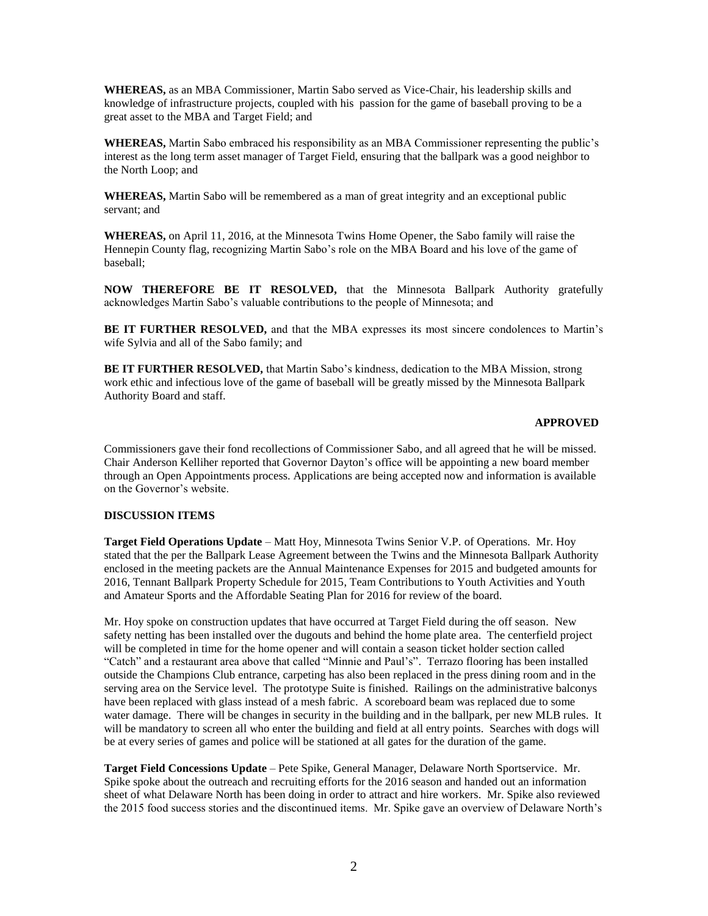**WHEREAS,** as an MBA Commissioner, Martin Sabo served as Vice-Chair, his leadership skills and knowledge of infrastructure projects, coupled with his passion for the game of baseball proving to be a great asset to the MBA and Target Field; and

**WHEREAS,** Martin Sabo embraced his responsibility as an MBA Commissioner representing the public's interest as the long term asset manager of Target Field, ensuring that the ballpark was a good neighbor to the North Loop; and

**WHEREAS,** Martin Sabo will be remembered as a man of great integrity and an exceptional public servant; and

**WHEREAS,** on April 11, 2016, at the Minnesota Twins Home Opener, the Sabo family will raise the Hennepin County flag, recognizing Martin Sabo's role on the MBA Board and his love of the game of baseball;

**NOW THEREFORE BE IT RESOLVED,** that the Minnesota Ballpark Authority gratefully acknowledges Martin Sabo's valuable contributions to the people of Minnesota; and

**BE IT FURTHER RESOLVED,** and that the MBA expresses its most sincere condolences to Martin's wife Sylvia and all of the Sabo family; and

**BE IT FURTHER RESOLVED,** that Martin Sabo's kindness, dedication to the MBA Mission, strong work ethic and infectious love of the game of baseball will be greatly missed by the Minnesota Ballpark Authority Board and staff.

# **APPROVED**

Commissioners gave their fond recollections of Commissioner Sabo, and all agreed that he will be missed. Chair Anderson Kelliher reported that Governor Dayton's office will be appointing a new board member through an Open Appointments process. Applications are being accepted now and information is available on the Governor's website.

### **DISCUSSION ITEMS**

**Target Field Operations Update** – Matt Hoy, Minnesota Twins Senior V.P. of Operations. Mr. Hoy stated that the per the Ballpark Lease Agreement between the Twins and the Minnesota Ballpark Authority enclosed in the meeting packets are the Annual Maintenance Expenses for 2015 and budgeted amounts for 2016, Tennant Ballpark Property Schedule for 2015, Team Contributions to Youth Activities and Youth and Amateur Sports and the Affordable Seating Plan for 2016 for review of the board.

Mr. Hoy spoke on construction updates that have occurred at Target Field during the off season. New safety netting has been installed over the dugouts and behind the home plate area. The centerfield project will be completed in time for the home opener and will contain a season ticket holder section called "Catch" and a restaurant area above that called "Minnie and Paul's". Terrazo flooring has been installed outside the Champions Club entrance, carpeting has also been replaced in the press dining room and in the serving area on the Service level. The prototype Suite is finished. Railings on the administrative balconys have been replaced with glass instead of a mesh fabric. A scoreboard beam was replaced due to some water damage. There will be changes in security in the building and in the ballpark, per new MLB rules. It will be mandatory to screen all who enter the building and field at all entry points. Searches with dogs will be at every series of games and police will be stationed at all gates for the duration of the game.

**Target Field Concessions Update** – Pete Spike, General Manager, Delaware North Sportservice. Mr. Spike spoke about the outreach and recruiting efforts for the 2016 season and handed out an information sheet of what Delaware North has been doing in order to attract and hire workers. Mr. Spike also reviewed the 2015 food success stories and the discontinued items. Mr. Spike gave an overview of Delaware North's